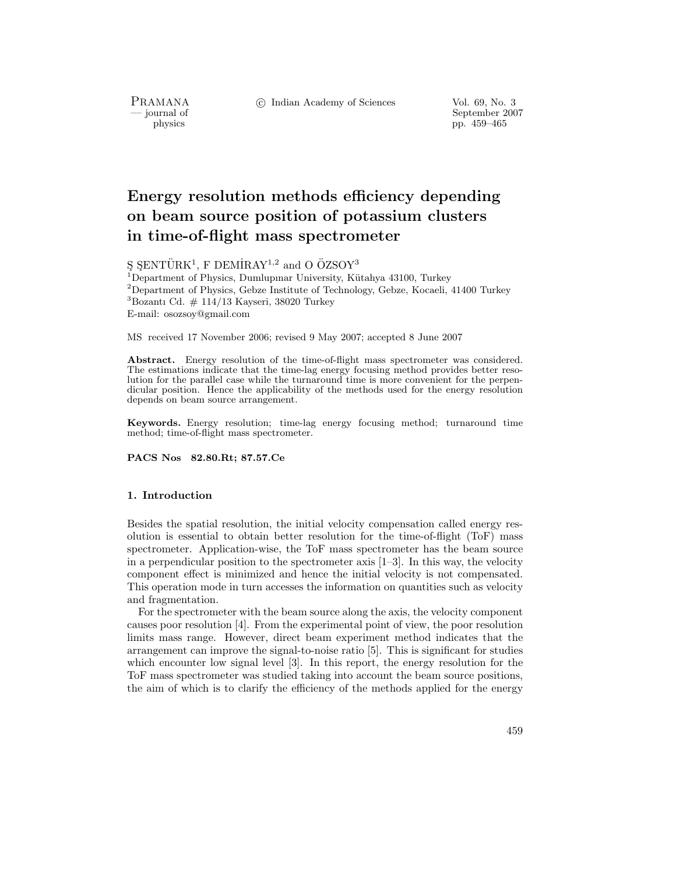PRAMANA<br>— journal of

c Indian Academy of Sciences Vol. 69, No. 3

September 2007 physics pp. 459–465

# **Energy resolution methods efficiency depending on beam source position of potassium clusters in time-of-flight mass spectrometer**

 $\S$   $\S$ ENTÜRK<sup>1</sup>, F DEMİRAY<sup>1,2</sup> and O ÖZSOY<sup>3</sup>

<sup>1</sup>Department of Physics, Dumlupinar University, Kütahya 43100, Turkey  $^{2}$ Department of Physics, Gebze Institute of Technology, Gebze, Kocaeli, 41400 Turkey  $3$ Bozantı Cd.  $\#$  114/13 Kayseri, 38020 Turkey E-mail: osozsoy@gmail.com

MS received 17 November 2006; revised 9 May 2007; accepted 8 June 2007

Abstract. Energy resolution of the time-of-flight mass spectrometer was considered. The estimations indicate that the time-lag energy focusing method provides better resolution for the parallel case while the turnaround time is more convenient for the perpendicular position. Hence the applicability of the methods used for the energy resolution depends on beam source arrangement.

**Keywords.** Energy resolution; time-lag energy focusing method; turnaround time method; time-of-flight mass spectrometer.

**PACS Nos 82.80.Rt; 87.57.Ce**

# **1. Introduction**

Besides the spatial resolution, the initial velocity compensation called energy resolution is essential to obtain better resolution for the time-of-flight (ToF) mass spectrometer. Application-wise, the ToF mass spectrometer has the beam source in a perpendicular position to the spectrometer axis  $[1-3]$ . In this way, the velocity component effect is minimized and hence the initial velocity is not compensated. This operation mode in turn accesses the information on quantities such as velocity and fragmentation.

For the spectrometer with the beam source along the axis, the velocity component causes poor resolution [4]. From the experimental point of view, the poor resolution limits mass range. However, direct beam experiment method indicates that the arrangement can improve the signal-to-noise ratio [5]. This is significant for studies which encounter low signal level [3]. In this report, the energy resolution for the ToF mass spectrometer was studied taking into account the beam source positions, the aim of which is to clarify the efficiency of the methods applied for the energy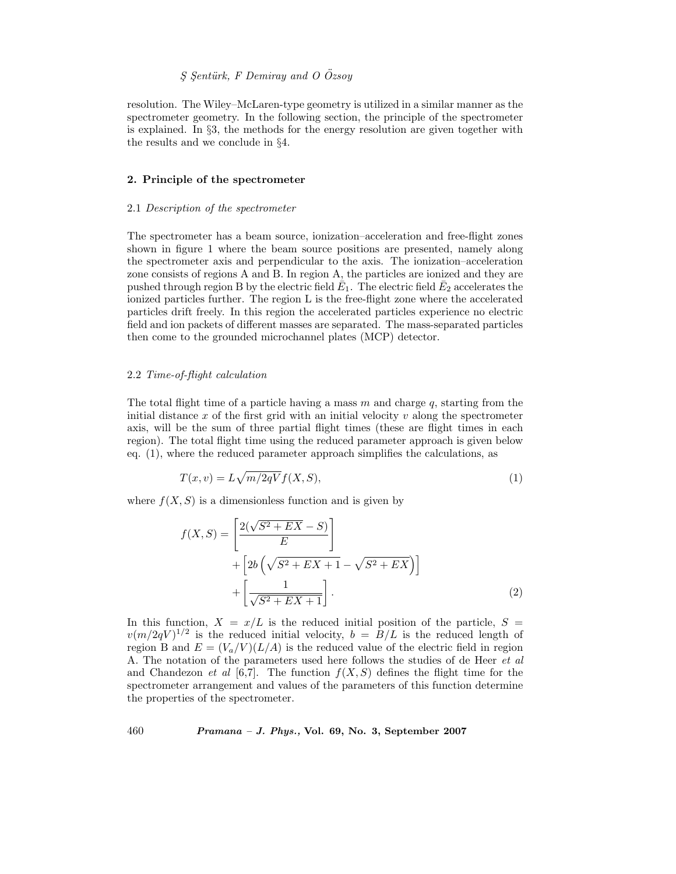# *S¸ S¸ent¨urk, F Demiray and O Ozsoy ¨*

resolution. The Wiley–McLaren-type geometry is utilized in a similar manner as the spectrometer geometry. In the following section, the principle of the spectrometer is explained. In §3, the methods for the energy resolution are given together with the results and we conclude in §4.

## **2. Principle of the spectrometer**

#### 2.1 *Description of the spectrometer*

The spectrometer has a beam source, ionization–acceleration and free-flight zones shown in figure 1 where the beam source positions are presented, namely along the spectrometer axis and perpendicular to the axis. The ionization–acceleration zone consists of regions A and B. In region A, the particles are ionized and they are pushed through region B by the electric field  $\bar{E}_1$ . The electric field  $\bar{E}_2$  accelerates the ionized particles further. The region L is the free-flight zone where the accelerated particles drift freely. In this region the accelerated particles experience no electric field and ion packets of different masses are separated. The mass-separated particles then come to the grounded microchannel plates (MCP) detector.

#### 2.2 *Time-of-flight calculation*

The total flight time of a particle having a mass  $m$  and charge  $q$ , starting from the initial distance  $x$  of the first grid with an initial velocity  $v$  along the spectrometer axis, will be the sum of three partial flight times (these are flight times in each region). The total flight time using the reduced parameter approach is given below eq. (1), where the reduced parameter approach simplifies the calculations, as

$$
T(x,v) = L\sqrt{m/2qV}f(X,S),\tag{1}
$$

where  $f(X, S)$  is a dimensionless function and is given by

$$
f(X, S) = \left[\frac{2(\sqrt{S^2 + EX} - S)}{E}\right] + \left[2b(\sqrt{S^2 + EX + 1} - \sqrt{S^2 + EX})\right] + \left[\frac{1}{\sqrt{S^2 + EX + 1}}\right].
$$
\n(2)

In this function,  $X = x/L$  is the reduced initial position of the particle,  $S =$  $v(m/2qV)^{1/2}$  is the reduced initial velocity,  $b = B/L$  is the reduced length of region B and  $E = (V_a/V)(L/A)$  is the reduced value of the electric field in region A. The notation of the parameters used here follows the studies of de Heer *et al* and Chandezon *et al* [6,7]. The function  $f(X, S)$  defines the flight time for the spectrometer arrangement and values of the parameters of this function determine the properties of the spectrometer.

460 *Pramana – J. Phys.,* **Vol. 69, No. 3, September 2007**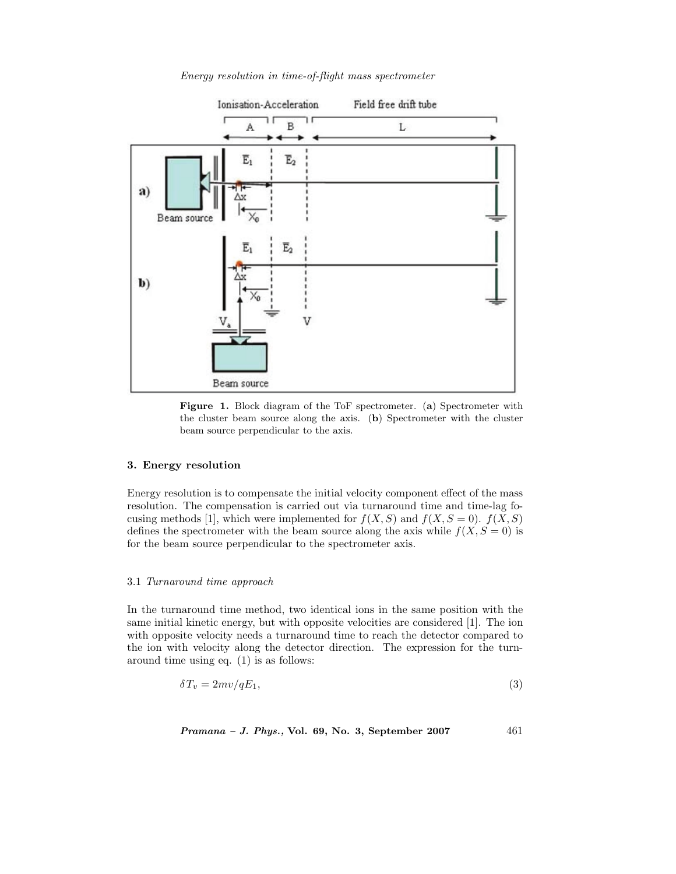

*Energy resolution in time-of-flight mass spectrometer*



#### **3. Energy resolution**

Energy resolution is to compensate the initial velocity component effect of the mass resolution. The compensation is carried out via turnaround time and time-lag focusing methods [1], which were implemented for  $f(X, S)$  and  $f(X, S = 0)$ .  $f(X, S)$ defines the spectrometer with the beam source along the axis while  $f(X, S = 0)$  is for the beam source perpendicular to the spectrometer axis.

# 3.1 *Turnaround time approach*

In the turnaround time method, two identical ions in the same position with the same initial kinetic energy, but with opposite velocities are considered [1]. The ion with opposite velocity needs a turnaround time to reach the detector compared to the ion with velocity along the detector direction. The expression for the turnaround time using eq. (1) is as follows:

$$
\delta T_v = 2mv/qE_1,\tag{3}
$$

$$
Pramana - J. Phys., Vol. 69, No. 3, September 2007
$$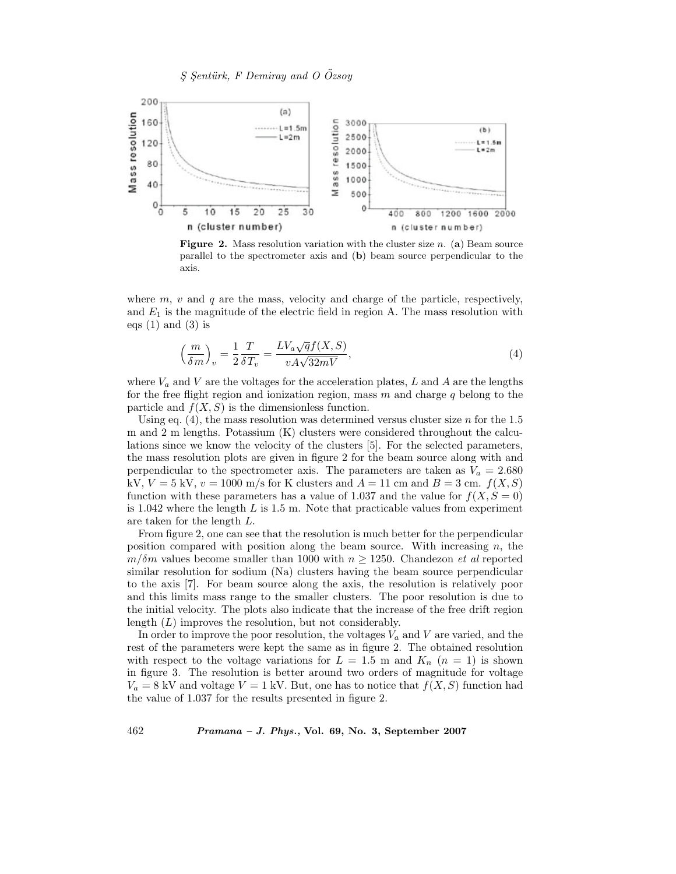

**Figure 2.** Mass resolution variation with the cluster size *n*. (**a**) Beam source parallel to the spectrometer axis and (**b**) beam source perpendicular to the axis.

where  $m, v$  and q are the mass, velocity and charge of the particle, respectively, and  $E_1$  is the magnitude of the electric field in region A. The mass resolution with eqs  $(1)$  and  $(3)$  is

$$
\left(\frac{m}{\delta m}\right)_v = \frac{1}{2} \frac{T}{\delta T_v} = \frac{LV_a \sqrt{q} f(X, S)}{v A \sqrt{32mV}},\tag{4}
$$

where  $V_a$  and  $V$  are the voltages for the acceleration plates,  $L$  and  $A$  are the lengths for the free flight region and ionization region, mass  $m$  and charge  $q$  belong to the particle and  $f(X, S)$  is the dimensionless function.

Using eq.  $(4)$ , the mass resolution was determined versus cluster size n for the 1.5 m and 2 m lengths. Potassium (K) clusters were considered throughout the calculations since we know the velocity of the clusters [5]. For the selected parameters, the mass resolution plots are given in figure 2 for the beam source along with and perpendicular to the spectrometer axis. The parameters are taken as  $V_a = 2.680$ kV,  $V = 5$  kV,  $v = 1000$  m/s for K clusters and  $A = 11$  cm and  $B = 3$  cm.  $f(X, S)$ function with these parameters has a value of 1.037 and the value for  $f(X, S = 0)$ is 1.042 where the length  $L$  is 1.5 m. Note that practicable values from experiment are taken for the length L.

From figure 2, one can see that the resolution is much better for the perpendicular position compared with position along the beam source. With increasing  $n$ , the  $m/\delta m$  values become smaller than 1000 with  $n \geq 1250$ . Chandezon *et al* reported similar resolution for sodium (Na) clusters having the beam source perpendicular to the axis [7]. For beam source along the axis, the resolution is relatively poor and this limits mass range to the smaller clusters. The poor resolution is due to the initial velocity. The plots also indicate that the increase of the free drift region length  $(L)$  improves the resolution, but not considerably.

In order to improve the poor resolution, the voltages  $V_a$  and  $V$  are varied, and the rest of the parameters were kept the same as in figure 2. The obtained resolution with respect to the voltage variations for  $L = 1.5$  m and  $K_n$  ( $n = 1$ ) is shown in figure 3. The resolution is better around two orders of magnitude for voltage  $V_a = 8$  kV and voltage  $V = 1$  kV. But, one has to notice that  $f(X, S)$  function had the value of 1.037 for the results presented in figure 2.

462 *Pramana – J. Phys.,* **Vol. 69, No. 3, September 2007**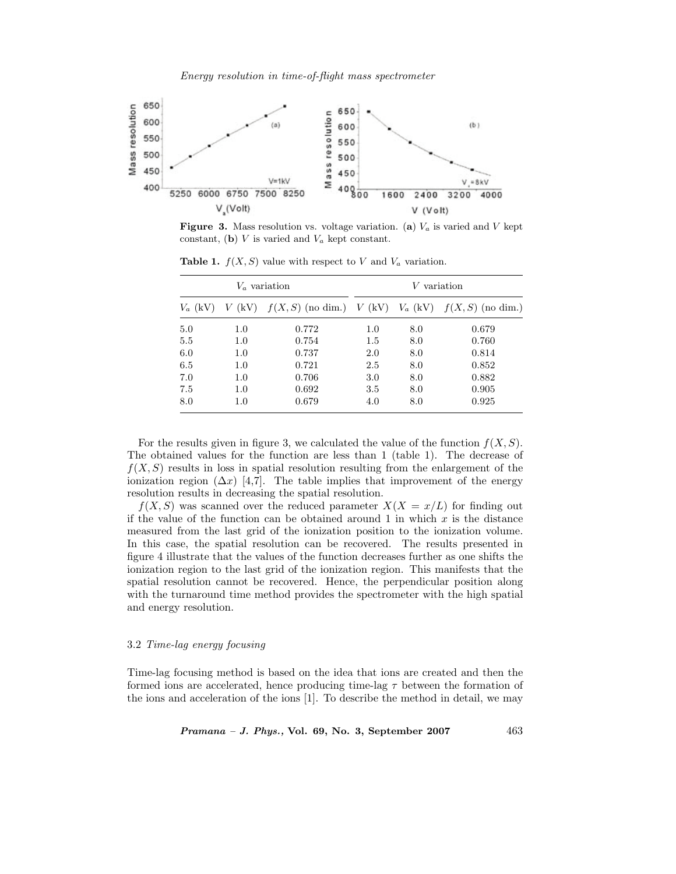*Energy resolution in time-of-flight mass spectrometer*



**Figure 3.** Mass resolution vs. voltage variation. (a)  $V_a$  is varied and *V* kept constant, (**b**)  $V$  is varied and  $V_a$  kept constant.

| $V_a$ variation |     |                                                                      | $V$ variation |     |       |
|-----------------|-----|----------------------------------------------------------------------|---------------|-----|-------|
| $V_a$ (kV)      |     | $V$ (kV) $f(X, S)$ (no dim.) $V$ (kV) $V_a$ (kV) $f(X, S)$ (no dim.) |               |     |       |
| 5.0             | 1.0 | 0.772                                                                | 1.0           | 8.0 | 0.679 |
| 5.5             | 1.0 | 0.754                                                                | 1.5           | 8.0 | 0.760 |
| 6.0             | 1.0 | 0.737                                                                | 2.0           | 8.0 | 0.814 |
| 6.5             | 1.0 | 0.721                                                                | 2.5           | 8.0 | 0.852 |
| 7.0             | 1.0 | 0.706                                                                | 3.0           | 8.0 | 0.882 |
| 7.5             | 1.0 | 0.692                                                                | 3.5           | 8.0 | 0.905 |
| 8.0             | 1.0 | 0.679                                                                | 4.0           | 8.0 | 0.925 |

**Table 1.**  $f(X, S)$  value with respect to *V* and  $V_a$  variation.

For the results given in figure 3, we calculated the value of the function  $f(X, S)$ . The obtained values for the function are less than 1 (table 1). The decrease of  $f(X, S)$  results in loss in spatial resolution resulting from the enlargement of the ionization region  $(\Delta x)$  [4,7]. The table implies that improvement of the energy resolution results in decreasing the spatial resolution.

 $f(X, S)$  was scanned over the reduced parameter  $X(X = x/L)$  for finding out if the value of the function can be obtained around 1 in which  $x$  is the distance measured from the last grid of the ionization position to the ionization volume. In this case, the spatial resolution can be recovered. The results presented in figure 4 illustrate that the values of the function decreases further as one shifts the ionization region to the last grid of the ionization region. This manifests that the spatial resolution cannot be recovered. Hence, the perpendicular position along with the turnaround time method provides the spectrometer with the high spatial and energy resolution.

# 3.2 *Time-lag energy focusing*

Time-lag focusing method is based on the idea that ions are created and then the formed ions are accelerated, hence producing time-lag  $\tau$  between the formation of the ions and acceleration of the ions [1]. To describe the method in detail, we may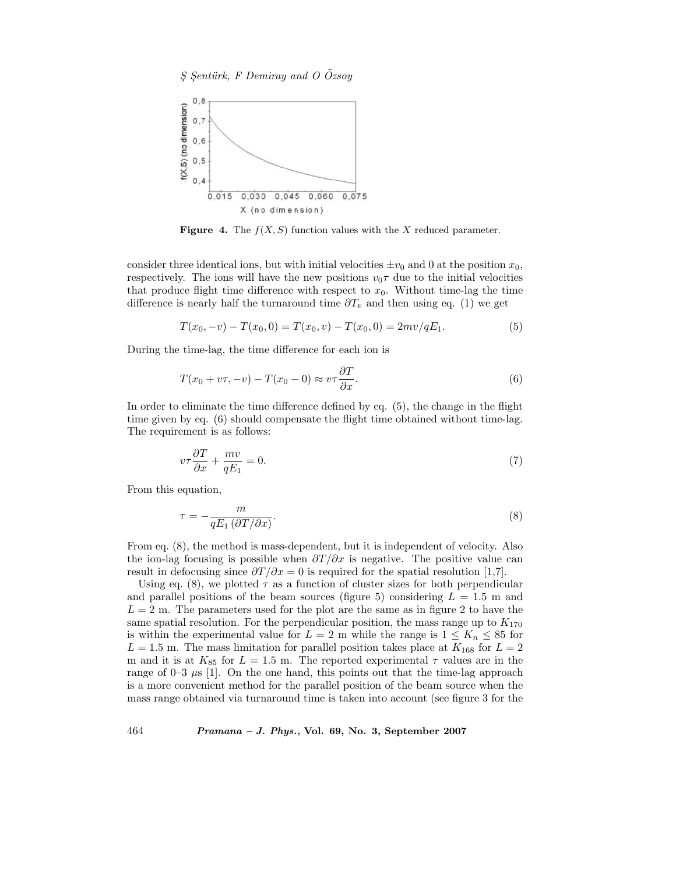

**Figure 4.** The  $f(X, S)$  function values with the X reduced parameter.

consider three identical ions, but with initial velocities  $\pm v_0$  and 0 at the position  $x_0$ , respectively. The ions will have the new positions  $v_0\tau$  due to the initial velocities that produce flight time difference with respect to  $x_0$ . Without time-lag the time difference is nearly half the turnaround time  $\partial T_v$  and then using eq. (1) we get

$$
T(x_0, -v) - T(x_0, 0) = T(x_0, v) - T(x_0, 0) = 2mv/qE_1.
$$
\n(5)

During the time-lag, the time difference for each ion is

$$
T(x_0 + v\tau, -v) - T(x_0 - 0) \approx v\tau \frac{\partial T}{\partial x}.
$$
\n(6)

In order to eliminate the time difference defined by eq. (5), the change in the flight time given by eq. (6) should compensate the flight time obtained without time-lag. The requirement is as follows:

$$
v\tau \frac{\partial T}{\partial x} + \frac{mv}{qE_1} = 0. \tag{7}
$$

From this equation,

$$
\tau = -\frac{m}{qE_1 \left(\partial T/\partial x\right)}.\tag{8}
$$

From eq. (8), the method is mass-dependent, but it is independent of velocity. Also the ion-lag focusing is possible when  $\frac{\partial T}{\partial x}$  is negative. The positive value can result in defocusing since  $\partial T/\partial x = 0$  is required for the spatial resolution [1,7].

Using eq. (8), we plotted  $\tau$  as a function of cluster sizes for both perpendicular and parallel positions of the beam sources (figure 5) considering  $L = 1.5$  m and  $L = 2$  m. The parameters used for the plot are the same as in figure 2 to have the same spatial resolution. For the perpendicular position, the mass range up to  $K_{170}$ is within the experimental value for  $L = 2$  m while the range is  $1 \leq K_n \leq 85$  for  $L = 1.5$  m. The mass limitation for parallel position takes place at  $K_{168}$  for  $L = 2$ m and it is at  $K_{85}$  for  $L = 1.5$  m. The reported experimental  $\tau$  values are in the range of  $0-3$   $\mu s$  [1]. On the one hand, this points out that the time-lag approach is a more convenient method for the parallel position of the beam source when the mass range obtained via turnaround time is taken into account (see figure 3 for the

464 *Pramana – J. Phys.,* **Vol. 69, No. 3, September 2007**